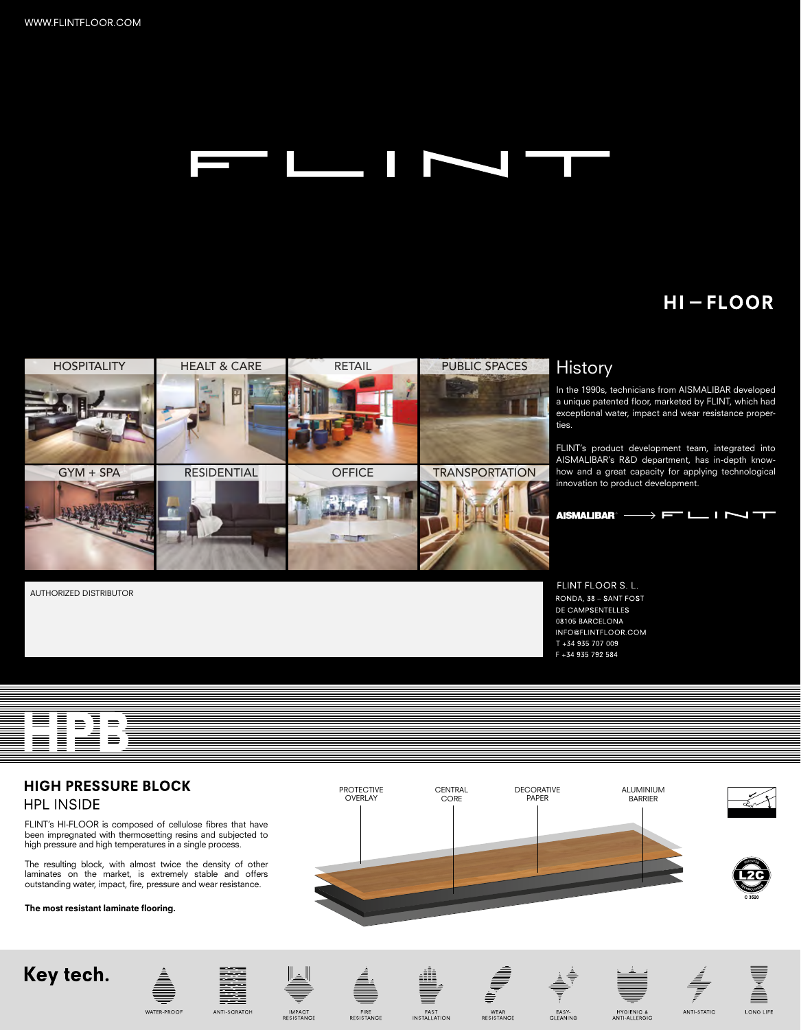#### l F

# **HI-FLOOR**



### **History**

In the 1990s, technicians from AISMALIBAR developed a unique patented floor, marketed by FLINT, which had exceptional water, impact and wear resistance properties.

FLINT's product development team, integrated into AISMALIBAR's R&D department, has in-depth knowhow and a great capacity for applying technological innovation to product development.



FLINT FLOOR S. L. RONDA, 38 - SANT FOST DE CAMPSENTELLES 08105 BARCELONA INFO@FLINTFLOOR.COM T +34 935 707 009 F +34 935 792 584

NING<br>Ning  $\equiv$ 

AUTHORIZED DISTRIBUTOR

## **HIGH PRESSURE BLOCK**

#### **HPL INSIDE**

FLINT's HI-FLOOR is composed of cellulose fibres that have been impregnated with thermosetting resins and subjected to high pressure and high temperatures in a single process.

The resulting block, with almost twice the density of other laminates on the market is extremely stable and offers outstanding water, impact, fire, pressure and wear resistance.

#### The most resistant laminate flooring.









FIRE<br>RESISTANCE



WEAR<br>RESISTANCE

EASY-<br>CLEANING

HYGIENIC &<br>ANTI-ALLERGIC

LONG LIFE

ANTI-STATIC